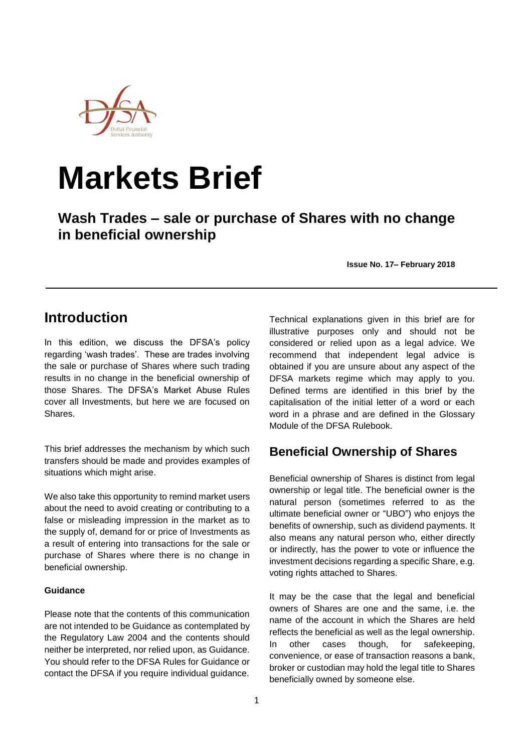

# **Markets Brief**

# **Wash Trades – sale or purchase of Shares with no change in beneficial ownership**

**Issue No. 17– February 2018**

# **Introduction**

In this edition, we discuss the DFSA's policy regarding 'wash trades'. These are trades involving the sale or purchase of Shares where such trading results in no change in the beneficial ownership of those Shares. The DFSA's Market Abuse Rules cover all Investments, but here we are focused on Shares.

This brief addresses the mechanism by which such transfers should be made and provides examples of situations which might arise.

We also take this opportunity to remind market users about the need to avoid creating or contributing to a false or misleading impression in the market as to the supply of, demand for or price of Investments as a result of entering into transactions for the sale or purchase of Shares where there is no change in beneficial ownership.

#### **Guidance**

Please note that the contents of this communication are not intended to be Guidance as contemplated by the Regulatory Law 2004 and the contents should neither be interpreted, nor relied upon, as Guidance. You should refer to the DFSA Rules for Guidance or contact the DFSA if you require individual guidance.

Technical explanations given in this brief are for illustrative purposes only and should not be considered or relied upon as a legal advice. We recommend that independent legal advice is obtained if you are unsure about any aspect of the DFSA markets regime which may apply to you. Defined terms are identified in this brief by the capitalisation of the initial letter of a word or each word in a phrase and are defined in the Glossary Module of the DFSA Rulebook.

## **Beneficial Ownership of Shares**

Beneficial ownership of Shares is distinct from legal ownership or legal title. The beneficial owner is the natural person (sometimes referred to as the ultimate beneficial owner or "UBO") who enjoys the benefits of ownership, such as dividend payments. It also means any natural person who, either directly or indirectly, has the power to vote or influence the investment decisions regarding a specific Share, e.g. voting rights attached to Shares.

It may be the case that the legal and beneficial owners of Shares are one and the same, i.e. the name of the account in which the Shares are held reflects the beneficial as well as the legal ownership. In other cases though, for safekeeping, convenience, or ease of transaction reasons a bank, broker or custodian may hold the legal title to Shares beneficially owned by someone else.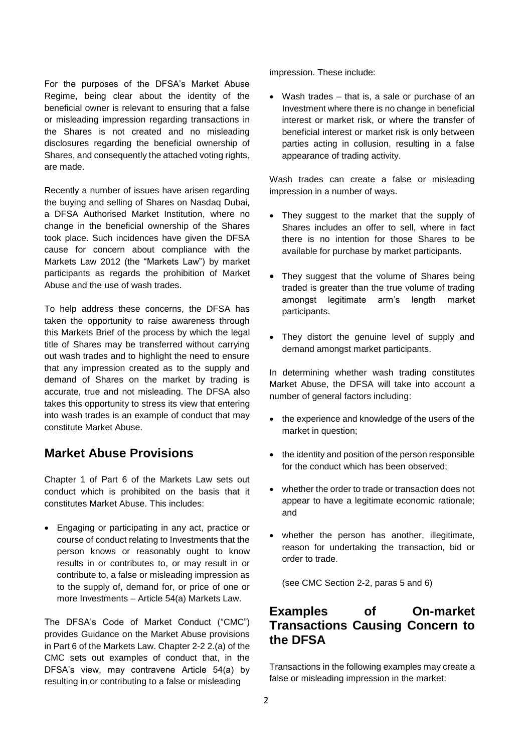For the purposes of the DFSA's Market Abuse Regime, being clear about the identity of the beneficial owner is relevant to ensuring that a false or misleading impression regarding transactions in the Shares is not created and no misleading disclosures regarding the beneficial ownership of Shares, and consequently the attached voting rights, are made.

Recently a number of issues have arisen regarding the buying and selling of Shares on Nasdaq Dubai, a DFSA Authorised Market Institution, where no change in the beneficial ownership of the Shares took place. Such incidences have given the DFSA cause for concern about compliance with the Markets Law 2012 (the "Markets Law") by market participants as regards the prohibition of Market Abuse and the use of wash trades.

To help address these concerns, the DFSA has taken the opportunity to raise awareness through this Markets Brief of the process by which the legal title of Shares may be transferred without carrying out wash trades and to highlight the need to ensure that any impression created as to the supply and demand of Shares on the market by trading is accurate, true and not misleading. The DFSA also takes this opportunity to stress its view that entering into wash trades is an example of conduct that may constitute Market Abuse.

#### **Market Abuse Provisions**

Chapter 1 of Part 6 of the Markets Law sets out conduct which is prohibited on the basis that it constitutes Market Abuse. This includes:

 Engaging or participating in any act, practice or course of conduct relating to Investments that the person knows or reasonably ought to know results in or contributes to, or may result in or contribute to, a false or misleading impression as to the supply of, demand for, or price of one or more Investments – Article 54(a) Markets Law.

The DFSA's Code of Market Conduct ("CMC") provides Guidance on the Market Abuse provisions in Part 6 of the Markets Law. Chapter 2-2 2.(a) of the CMC sets out examples of conduct that, in the DFSA's view, may contravene Article 54(a) by resulting in or contributing to a false or misleading

impression. These include:

 Wash trades – that is, a sale or purchase of an Investment where there is no change in beneficial interest or market risk, or where the transfer of beneficial interest or market risk is only between parties acting in collusion, resulting in a false appearance of trading activity.

Wash trades can create a false or misleading impression in a number of ways.

- They suggest to the market that the supply of Shares includes an offer to sell, where in fact there is no intention for those Shares to be available for purchase by market participants.
- They suggest that the volume of Shares being traded is greater than the true volume of trading amongst legitimate arm's length market participants.
- They distort the genuine level of supply and demand amongst market participants.

In determining whether wash trading constitutes Market Abuse, the DFSA will take into account a number of general factors including:

- the experience and knowledge of the users of the market in question;
- the identity and position of the person responsible for the conduct which has been observed;
- whether the order to trade or transaction does not appear to have a legitimate economic rationale; and
- whether the person has another, illegitimate, reason for undertaking the transaction, bid or order to trade.

(see CMC Section 2-2, paras 5 and 6)

#### **Examples of On-market Transactions Causing Concern to the DFSA**

Transactions in the following examples may create a false or misleading impression in the market: